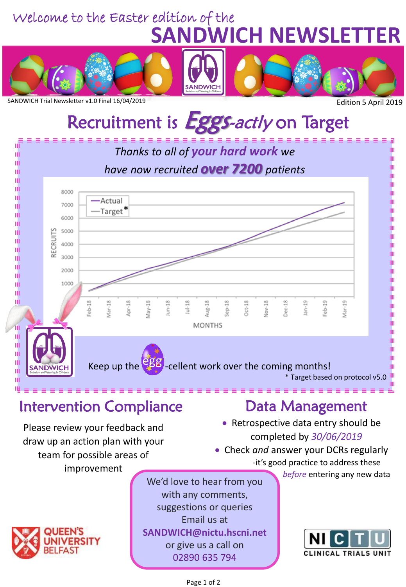### **SANDWICH NEWSLETTER** Welcome to the Easter edition of the







SANDWICH Trial Newsletter v1.0 Final 16/04/2019

# Recruitment is **Eggs-actly** on Target



### Please review your feedback and draw up an action plan with your team for possible areas of improvement

We'd love to hear from you with any comments, suggestions or queries Email us at **SANDWICH@nictu.hscni.net**  or give us a call on 02890 635 794

- Retrospective data entry should be completed by *30/06/2019*
- Check *and* answer your DCRs regularly -it's good practice to address these

before entering any new data